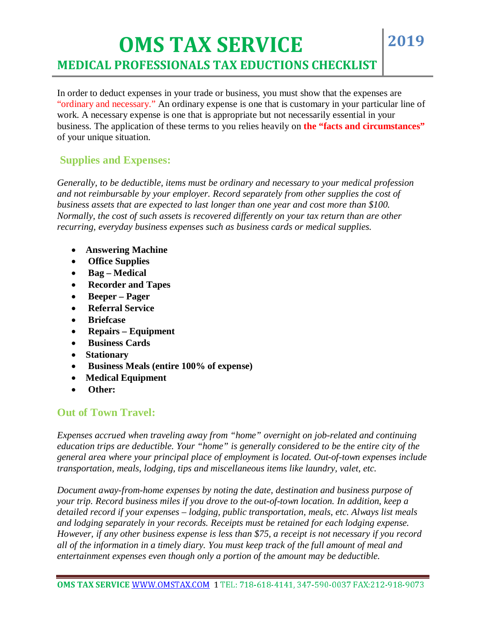In order to deduct expenses in your trade or business, you must show that the expenses are "ordinary and necessary." An ordinary expense is one that is customary in your particular line of work. A necessary expense is one that is appropriate but not necessarily essential in your business. The application of these terms to you relies heavily on **the "facts and circumstances"** of your unique situation.

## **Supplies and Expenses:**

I

*Generally, to be deductible, items must be ordinary and necessary to your medical profession and not reimbursable by your employer. Record separately from other supplies the cost of business assets that are expected to last longer than one year and cost more than \$100. Normally, the cost of such assets is recovered differently on your tax return than are other recurring, everyday business expenses such as business cards or medical supplies.* 

- **Answering Machine**
- **Office Supplies**
- **Bag Medical**
- **Recorder and Tapes**
- **Beeper Pager**
- **Referral Service**
- **Briefcase**
- **Repairs Equipment**
- **Business Cards**
- **Stationary**
- **Business Meals (entire 100% of expense)**
- **Medical Equipment**
- **Other:**

## **Out of Town Travel:**

*Expenses accrued when traveling away from "home" overnight on job-related and continuing education trips are deductible. Your "home" is generally considered to be the entire city of the general area where your principal place of employment is located. Out-of-town expenses include transportation, meals, lodging, tips and miscellaneous items like laundry, valet, etc.* 

*Document away-from-home expenses by noting the date, destination and business purpose of your trip. Record business miles if you drove to the out-of-town location. In addition, keep a detailed record if your expenses – lodging, public transportation, meals, etc. Always list meals and lodging separately in your records. Receipts must be retained for each lodging expense. However, if any other business expense is less than \$75, a receipt is not necessary if you record all of the information in a timely diary. You must keep track of the full amount of meal and entertainment expenses even though only a portion of the amount may be deductible.*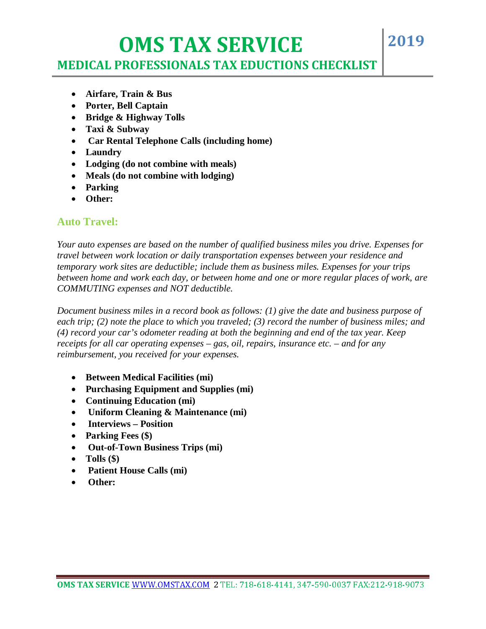# **OMS TAX SERVICE**

# **MEDICAL PROFESSIONALS TAX EDUCTIONS CHECKLIST**

**2019**

- **Airfare, Train & Bus**
- **Porter, Bell Captain**
- **Bridge & Highway Tolls**
- **Taxi & Subway**
- **Car Rental Telephone Calls (including home)**
- **Laundry**

I

- **Lodging (do not combine with meals)**
- **Meals (do not combine with lodging)**
- **Parking**
- **Other:**

#### **Auto Travel:**

*Your auto expenses are based on the number of qualified business miles you drive. Expenses for travel between work location or daily transportation expenses between your residence and temporary work sites are deductible; include them as business miles. Expenses for your trips between home and work each day, or between home and one or more regular places of work, are COMMUTING expenses and NOT deductible.* 

*Document business miles in a record book as follows: (1) give the date and business purpose of each trip; (2) note the place to which you traveled; (3) record the number of business miles; and (4) record your car's odometer reading at both the beginning and end of the tax year. Keep receipts for all car operating expenses – gas, oil, repairs, insurance etc. – and for any reimbursement, you received for your expenses.* 

- **Between Medical Facilities (mi)**
- **Purchasing Equipment and Supplies (mi)**
- **Continuing Education (mi)**
- **Uniform Cleaning & Maintenance (mi)**
- **Interviews Position**
- **Parking Fees (\$)**
- **Out-of-Town Business Trips (mi)**
- **Tolls (\$)**
- **Patient House Calls (mi)**
- **Other:**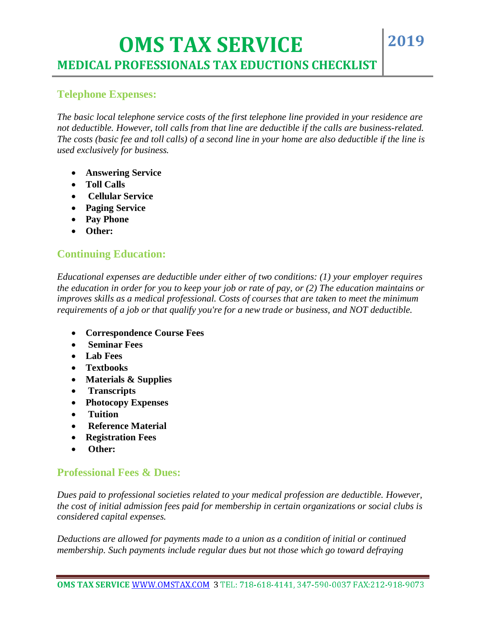#### **Telephone Expenses:**

I

*The basic local telephone service costs of the first telephone line provided in your residence are not deductible. However, toll calls from that line are deductible if the calls are business-related. The costs (basic fee and toll calls) of a second line in your home are also deductible if the line is used exclusively for business.* 

- **Answering Service**
- **Toll Calls**
- **Cellular Service**
- **Paging Service**
- **Pay Phone**
- **Other:**

## **Continuing Education:**

*Educational expenses are deductible under either of two conditions: (1) your employer requires the education in order for you to keep your job or rate of pay, or (2) The education maintains or improves skills as a medical professional. Costs of courses that are taken to meet the minimum requirements of a job or that qualify you're for a new trade or business, and NOT deductible.* 

- **Correspondence Course Fees**
- **Seminar Fees**
- **Lab Fees**
- **Textbooks**
- **Materials & Supplies**
- **Transcripts**
- **Photocopy Expenses**
- **Tuition**
- **Reference Material**
- **Registration Fees**
- **Other:**

#### **Professional Fees & Dues:**

*Dues paid to professional societies related to your medical profession are deductible. However, the cost of initial admission fees paid for membership in certain organizations or social clubs is considered capital expenses.* 

*Deductions are allowed for payments made to a union as a condition of initial or continued membership. Such payments include regular dues but not those which go toward defraying*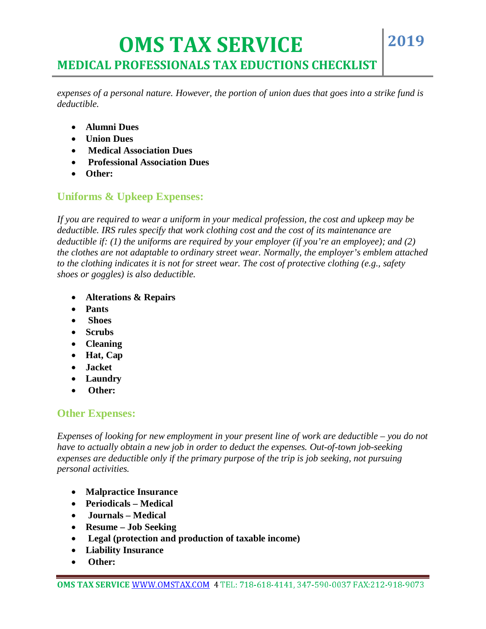*expenses of a personal nature. However, the portion of union dues that goes into a strike fund is deductible.* 

**2019**

- **Alumni Dues**
- **Union Dues**
- **Medical Association Dues**
- **Professional Association Dues**
- **Other:**

I

## **Uniforms & Upkeep Expenses:**

*If you are required to wear a uniform in your medical profession, the cost and upkeep may be deductible. IRS rules specify that work clothing cost and the cost of its maintenance are deductible if: (1) the uniforms are required by your employer (if you're an employee); and (2) the clothes are not adaptable to ordinary street wear. Normally, the employer's emblem attached to the clothing indicates it is not for street wear. The cost of protective clothing (e.g., safety shoes or goggles) is also deductible.* 

- **Alterations & Repairs**
- **Pants**
- **Shoes**
- **Scrubs**
- **Cleaning**
- **Hat, Cap**
- **Jacket**
- **Laundry**
- **Other:**

#### **Other Expenses:**

*Expenses of looking for new employment in your present line of work are deductible – you do not have to actually obtain a new job in order to deduct the expenses. Out-of-town job-seeking expenses are deductible only if the primary purpose of the trip is job seeking, not pursuing personal activities.* 

- **Malpractice Insurance**
- **Periodicals Medical**
- **Journals Medical**
- **Resume Job Seeking**
- **Legal (protection and production of taxable income)**
- **Liability Insurance**
- **Other:**